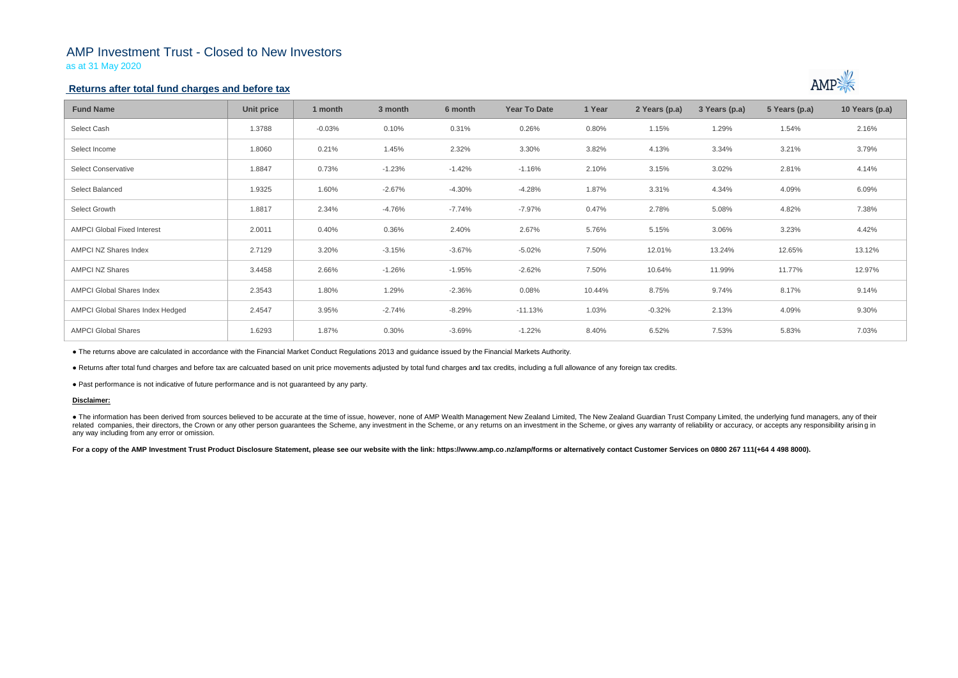# AMP Investment Trust - Closed to New Investors

as at 31 May 2020

## **Returns after total fund charges and before tax**

| <b>Fund Name</b>                   | Unit price | 1 month  | 3 month  | 6 month  | <b>Year To Date</b> | 1 Year | 2 Years (p.a) | 3 Years (p.a) | 5 Years (p.a) | 10 Years (p.a) |
|------------------------------------|------------|----------|----------|----------|---------------------|--------|---------------|---------------|---------------|----------------|
| Select Cash                        | 1.3788     | $-0.03%$ | 0.10%    | 0.31%    | 0.26%               | 0.80%  | 1.15%         | 1.29%         | 1.54%         | 2.16%          |
| Select Income                      | 1.8060     | 0.21%    | 1.45%    | 2.32%    | 3.30%               | 3.82%  | 4.13%         | 3.34%         | 3.21%         | 3.79%          |
| <b>Select Conservative</b>         | 1.8847     | 0.73%    | $-1.23%$ | $-1.42%$ | $-1.16%$            | 2.10%  | 3.15%         | 3.02%         | 2.81%         | 4.14%          |
| Select Balanced                    | 1.9325     | 1.60%    | $-2.67%$ | $-4.30%$ | $-4.28%$            | 1.87%  | 3.31%         | 4.34%         | 4.09%         | 6.09%          |
| Select Growth                      | 1.8817     | 2.34%    | $-4.76%$ | $-7.74%$ | $-7.97%$            | 0.47%  | 2.78%         | 5.08%         | 4.82%         | 7.38%          |
| <b>AMPCI Global Fixed Interest</b> | 2.0011     | 0.40%    | 0.36%    | 2.40%    | 2.67%               | 5.76%  | 5.15%         | 3.06%         | 3.23%         | 4.42%          |
| AMPCI NZ Shares Index              | 2.7129     | 3.20%    | $-3.15%$ | $-3.67%$ | $-5.02%$            | 7.50%  | 12.01%        | 13.24%        | 12.65%        | 13.12%         |
| <b>AMPCI NZ Shares</b>             | 3.4458     | 2.66%    | $-1.26%$ | $-1.95%$ | $-2.62%$            | 7.50%  | 10.64%        | 11.99%        | 11.77%        | 12.97%         |
| <b>AMPCI Global Shares Index</b>   | 2.3543     | 1.80%    | 1.29%    | $-2.36%$ | 0.08%               | 10.44% | 8.75%         | 9.74%         | 8.17%         | 9.14%          |
| AMPCI Global Shares Index Hedged   | 2.4547     | 3.95%    | $-2.74%$ | $-8.29%$ | $-11.13%$           | 1.03%  | $-0.32%$      | 2.13%         | 4.09%         | 9.30%          |
| <b>AMPCI Global Shares</b>         | 1.6293     | 1.87%    | 0.30%    | $-3.69%$ | $-1.22%$            | 8.40%  | 6.52%         | 7.53%         | 5.83%         | 7.03%          |

• The information has been derived from sources believed to be accurate at the time of issue, however, none of AMP Wealth Management New Zealand Limited, The New Zealand Guardian Trust Company Limited, the underlying fund related companies, their directors, the Crown or any other person quarantees the Scheme, any investment in the Scheme, or any returns on an investment in the Scheme, or gives any warranty of reliability or accuracy, or acc any way including from any error or omission.

For a copy of the AMP Investment Trust Product Disclosure Statement, please see our website with the link: https://www.amp.co.nz/amp/forms or alternatively contact Customer Services on 0800 267 111(+64 4 498 8000).



● The returns above are calculated in accordance with the Financial Market Conduct Regulations 2013 and guidance issued by the Financial Markets Authority.

● Returns after total fund charges and before tax are calcuated based on unit price movements adjusted by total fund charges and tax credits, including a full allowance of any foreign tax credits.

● Past performance is not indicative of future performance and is not guaranteed by any party.

### **Disclaimer:**